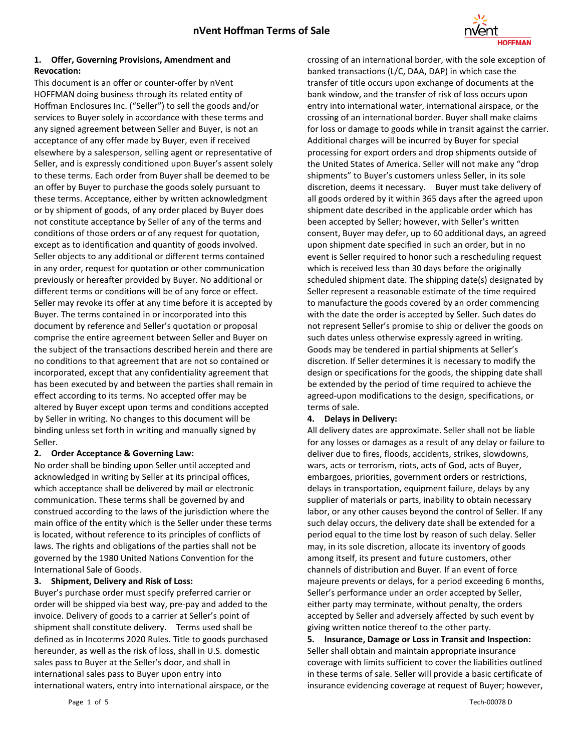

### **1. Offer, Governing Provisions, Amendment and Revocation:**

This document is an offer or counter-offer by nVent HOFFMAN doing business through its related entity of Hoffman Enclosures Inc. ("Seller") to sell the goods and/or services to Buyer solely in accordance with these terms and any signed agreement between Seller and Buyer, is not an acceptance of any offer made by Buyer, even if received elsewhere by a salesperson, selling agent or representative of Seller, and is expressly conditioned upon Buyer's assent solely to these terms. Each order from Buyer shall be deemed to be an offer by Buyer to purchase the goods solely pursuant to these terms. Acceptance, either by written acknowledgment or by shipment of goods, of any order placed by Buyer does not constitute acceptance by Seller of any of the terms and conditions of those orders or of any request for quotation, except as to identification and quantity of goods involved. Seller objects to any additional or different terms contained in any order, request for quotation or other communication previously or hereafter provided by Buyer. No additional or different terms or conditions will be of any force or effect. Seller may revoke its offer at any time before it is accepted by Buyer. The terms contained in or incorporated into this document by reference and Seller's quotation or proposal comprise the entire agreement between Seller and Buyer on the subject of the transactions described herein and there are no conditions to that agreement that are not so contained or incorporated, except that any confidentiality agreement that has been executed by and between the parties shall remain in effect according to its terms. No accepted offer may be altered by Buyer except upon terms and conditions accepted by Seller in writing. No changes to this document will be binding unless set forth in writing and manually signed by Seller.

### **2. Order Acceptance & Governing Law:**

No order shall be binding upon Seller until accepted and acknowledged in writing by Seller at its principal offices, which acceptance shall be delivered by mail or electronic communication. These terms shall be governed by and construed according to the laws of the jurisdiction where the main office of the entity which is the Seller under these terms is located, without reference to its principles of conflicts of laws. The rights and obligations of the parties shall not be governed by the 1980 United Nations Convention for the International Sale of Goods.

### **3. Shipment, Delivery and Risk of Loss:**

Buyer's purchase order must specify preferred carrier or order will be shipped via best way, pre-pay and added to the invoice. Delivery of goods to a carrier at Seller's point of shipment shall constitute delivery. Terms used shall be defined as in Incoterms 2020 Rules. Title to goods purchased hereunder, as well as the risk of loss, shall in U.S. domestic sales pass to Buyer at the Seller's door, and shall in international sales pass to Buyer upon entry into international waters, entry into international airspace, or the

crossing of an international border, with the sole exception of banked transactions (L/C, DAA, DAP) in which case the transfer of title occurs upon exchange of documents at the bank window, and the transfer of risk of loss occurs upon entry into international water, international airspace, or the crossing of an international border. Buyer shall make claims for loss or damage to goods while in transit against the carrier. Additional charges will be incurred by Buyer for special processing for export orders and drop shipments outside of the United States of America. Seller will not make any "drop shipments" to Buyer's customers unless Seller, in its sole discretion, deems it necessary. Buyer must take delivery of all goods ordered by it within 365 days after the agreed upon shipment date described in the applicable order which has been accepted by Seller; however, with Seller's written consent, Buyer may defer, up to 60 additional days, an agreed upon shipment date specified in such an order, but in no event is Seller required to honor such a rescheduling request which is received less than 30 days before the originally scheduled shipment date. The shipping date(s) designated by Seller represent a reasonable estimate of the time required to manufacture the goods covered by an order commencing with the date the order is accepted by Seller. Such dates do not represent Seller's promise to ship or deliver the goods on such dates unless otherwise expressly agreed in writing. Goods may be tendered in partial shipments at Seller's discretion. If Seller determines it is necessary to modify the design or specifications for the goods, the shipping date shall be extended by the period of time required to achieve the agreed-upon modifications to the design, specifications, or terms of sale.

### **4. Delays in Delivery:**

All delivery dates are approximate. Seller shall not be liable for any losses or damages as a result of any delay or failure to deliver due to fires, floods, accidents, strikes, slowdowns, wars, acts or terrorism, riots, acts of God, acts of Buyer, embargoes, priorities, government orders or restrictions, delays in transportation, equipment failure, delays by any supplier of materials or parts, inability to obtain necessary labor, or any other causes beyond the control of Seller. If any such delay occurs, the delivery date shall be extended for a period equal to the time lost by reason of such delay. Seller may, in its sole discretion, allocate its inventory of goods among itself, its present and future customers, other channels of distribution and Buyer. If an event of force majeure prevents or delays, for a period exceeding 6 months, Seller's performance under an order accepted by Seller, either party may terminate, without penalty, the orders accepted by Seller and adversely affected by such event by giving written notice thereof to the other party.

**5. Insurance, Damage or Loss in Transit and Inspection:** Seller shall obtain and maintain appropriate insurance coverage with limits sufficient to cover the liabilities outlined in these terms of sale. Seller will provide a basic certificate of insurance evidencing coverage at request of Buyer; however,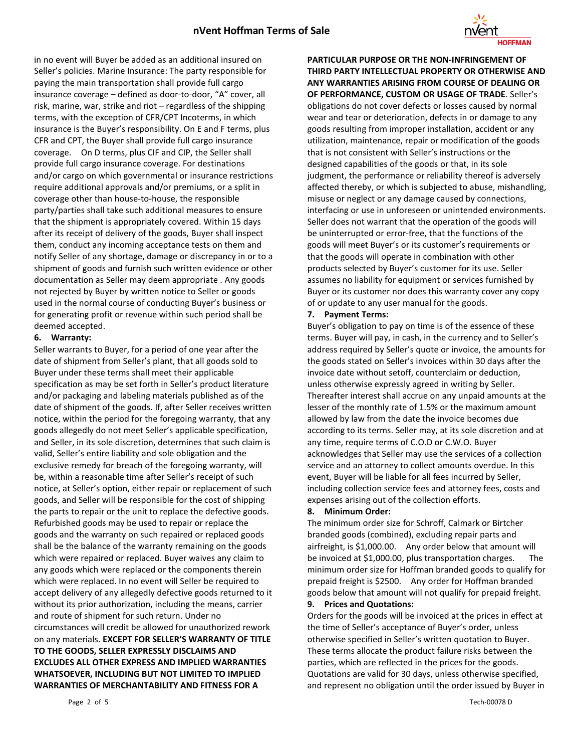

in no event will Buyer be added as an additional insured on Seller's policies. Marine Insurance: The party responsible for paying the main transportation shall provide full cargo insurance coverage – defined as door-to-door, "A" cover, all risk, marine, war, strike and riot – regardless of the shipping terms, with the exception of CFR/CPT Incoterms, in which insurance is the Buyer's responsibility. On E and F terms, plus CFR and CPT, the Buyer shall provide full cargo insurance coverage. On D terms, plus CIF and CIP, the Seller shall provide full cargo insurance coverage. For destinations and/or cargo on which governmental or insurance restrictions require additional approvals and/or premiums, or a split in coverage other than house-to-house, the responsible party/parties shall take such additional measures to ensure that the shipment is appropriately covered. Within 15 days after its receipt of delivery of the goods, Buyer shall inspect them, conduct any incoming acceptance tests on them and notify Seller of any shortage, damage or discrepancy in or to a shipment of goods and furnish such written evidence or other documentation as Seller may deem appropriate . Any goods not rejected by Buyer by written notice to Seller or goods used in the normal course of conducting Buyer's business or for generating profit or revenue within such period shall be deemed accepted.

#### **6. Warranty:**

Seller warrants to Buyer, for a period of one year after the date of shipment from Seller's plant, that all goods sold to Buyer under these terms shall meet their applicable specification as may be set forth in Seller's product literature and/or packaging and labeling materials published as of the date of shipment of the goods. If, after Seller receives written notice, within the period for the foregoing warranty, that any goods allegedly do not meet Seller's applicable specification, and Seller, in its sole discretion, determines that such claim is valid, Seller's entire liability and sole obligation and the exclusive remedy for breach of the foregoing warranty, will be, within a reasonable time after Seller's receipt of such notice, at Seller's option, either repair or replacement of such goods, and Seller will be responsible for the cost of shipping the parts to repair or the unit to replace the defective goods. Refurbished goods may be used to repair or replace the goods and the warranty on such repaired or replaced goods shall be the balance of the warranty remaining on the goods which were repaired or replaced. Buyer waives any claim to any goods which were replaced or the components therein which were replaced. In no event will Seller be required to accept delivery of any allegedly defective goods returned to it without its prior authorization, including the means, carrier and route of shipment for such return. Under no circumstances will credit be allowed for unauthorized rework on any materials. **EXCEPT FOR SELLER'S WARRANTY OF TITLE TO THE GOODS, SELLER EXPRESSLY DISCLAIMS AND EXCLUDES ALL OTHER EXPRESS AND IMPLIED WARRANTIES WHATSOEVER, INCLUDING BUT NOT LIMITED TO IMPLIED WARRANTIES OF MERCHANTABILITY AND FITNESS FOR A** 

**PARTICULAR PURPOSE OR THE NON-INFRINGEMENT OF THIRD PARTY INTELLECTUAL PROPERTY OR OTHERWISE AND ANY WARRANTIES ARISING FROM COURSE OF DEALING OR OF PERFORMANCE, CUSTOM OR USAGE OF TRADE**. Seller's obligations do not cover defects or losses caused by normal wear and tear or deterioration, defects in or damage to any goods resulting from improper installation, accident or any utilization, maintenance, repair or modification of the goods that is not consistent with Seller's instructions or the designed capabilities of the goods or that, in its sole judgment, the performance or reliability thereof is adversely affected thereby, or which is subjected to abuse, mishandling, misuse or neglect or any damage caused by connections, interfacing or use in unforeseen or unintended environments. Seller does not warrant that the operation of the goods will be uninterrupted or error-free, that the functions of the goods will meet Buyer's or its customer's requirements or that the goods will operate in combination with other products selected by Buyer's customer for its use. Seller assumes no liability for equipment or services furnished by Buyer or its customer nor does this warranty cover any copy of or update to any user manual for the goods.

### **7. Payment Terms:**

Buyer's obligation to pay on time is of the essence of these terms. Buyer will pay, in cash, in the currency and to Seller's address required by Seller's quote or invoice, the amounts for the goods stated on Seller's invoices within 30 days after the invoice date without setoff, counterclaim or deduction, unless otherwise expressly agreed in writing by Seller. Thereafter interest shall accrue on any unpaid amounts at the lesser of the monthly rate of 1.5% or the maximum amount allowed by law from the date the invoice becomes due according to its terms. Seller may, at its sole discretion and at any time, require terms of C.O.D or C.W.O. Buyer acknowledges that Seller may use the services of a collection service and an attorney to collect amounts overdue. In this event, Buyer will be liable for all fees incurred by Seller, including collection service fees and attorney fees, costs and expenses arising out of the collection efforts.

### **8. Minimum Order:**

The minimum order size for Schroff, Calmark or Birtcher branded goods (combined), excluding repair parts and airfreight, is \$1,000.00. Any order below that amount will be invoiced at \$1,000.00, plus transportation charges. The minimum order size for Hoffman branded goods to qualify for prepaid freight is \$2500. Any order for Hoffman branded goods below that amount will not qualify for prepaid freight.

#### **9. Prices and Quotations:**

Orders for the goods will be invoiced at the prices in effect at the time of Seller's acceptance of Buyer's order, unless otherwise specified in Seller's written quotation to Buyer. These terms allocate the product failure risks between the parties, which are reflected in the prices for the goods. Quotations are valid for 30 days, unless otherwise specified, and represent no obligation until the order issued by Buyer in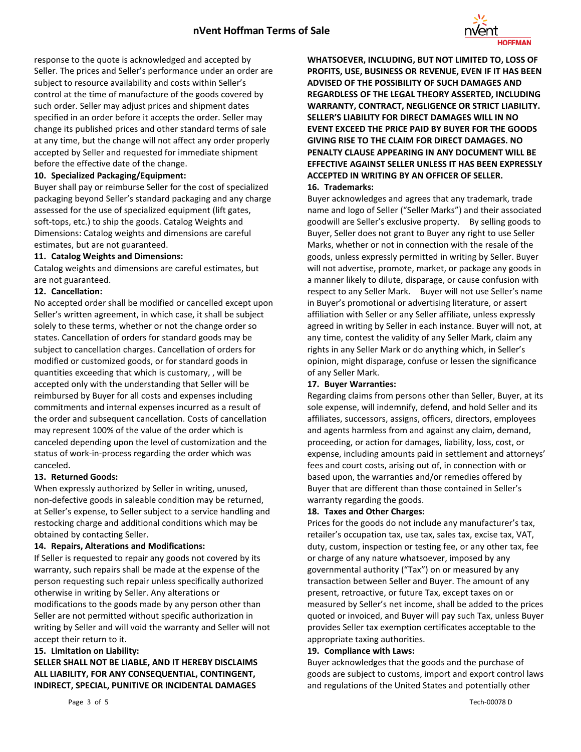

response to the quote is acknowledged and accepted by Seller. The prices and Seller's performance under an order are subject to resource availability and costs within Seller's control at the time of manufacture of the goods covered by such order. Seller may adjust prices and shipment dates specified in an order before it accepts the order. Seller may change its published prices and other standard terms of sale at any time, but the change will not affect any order properly accepted by Seller and requested for immediate shipment before the effective date of the change.

### **10. Specialized Packaging/Equipment:**

Buyer shall pay or reimburse Seller for the cost of specialized packaging beyond Seller's standard packaging and any charge assessed for the use of specialized equipment (lift gates, soft-tops, etc.) to ship the goods. Catalog Weights and Dimensions: Catalog weights and dimensions are careful estimates, but are not guaranteed.

### **11. Catalog Weights and Dimensions:**

Catalog weights and dimensions are careful estimates, but are not guaranteed.

### **12. Cancellation:**

No accepted order shall be modified or cancelled except upon Seller's written agreement, in which case, it shall be subject solely to these terms, whether or not the change order so states. Cancellation of orders for standard goods may be subject to cancellation charges. Cancellation of orders for modified or customized goods, or for standard goods in quantities exceeding that which is customary, , will be accepted only with the understanding that Seller will be reimbursed by Buyer for all costs and expenses including commitments and internal expenses incurred as a result of the order and subsequent cancellation. Costs of cancellation may represent 100% of the value of the order which is canceled depending upon the level of customization and the status of work-in-process regarding the order which was canceled.

### **13. Returned Goods:**

When expressly authorized by Seller in writing, unused, non-defective goods in saleable condition may be returned, at Seller's expense, to Seller subject to a service handling and restocking charge and additional conditions which may be obtained by contacting Seller.

#### **14. Repairs, Alterations and Modifications:**

If Seller is requested to repair any goods not covered by its warranty, such repairs shall be made at the expense of the person requesting such repair unless specifically authorized otherwise in writing by Seller. Any alterations or modifications to the goods made by any person other than Seller are not permitted without specific authorization in writing by Seller and will void the warranty and Seller will not accept their return to it.

#### **15. Limitation on Liability:**

## **SELLER SHALL NOT BE LIABLE, AND IT HEREBY DISCLAIMS ALL LIABILITY, FOR ANY CONSEQUENTIAL, CONTINGENT, INDIRECT, SPECIAL, PUNITIVE OR INCIDENTAL DAMAGES**

**WHATSOEVER, INCLUDING, BUT NOT LIMITED TO, LOSS OF PROFITS, USE, BUSINESS OR REVENUE, EVEN IF IT HAS BEEN ADVISED OF THE POSSIBILITY OF SUCH DAMAGES AND REGARDLESS OF THE LEGAL THEORY ASSERTED, INCLUDING WARRANTY, CONTRACT, NEGLIGENCE OR STRICT LIABILITY. SELLER'S LIABILITY FOR DIRECT DAMAGES WILL IN NO EVENT EXCEED THE PRICE PAID BY BUYER FOR THE GOODS GIVING RISE TO THE CLAIM FOR DIRECT DAMAGES. NO PENALTY CLAUSE APPEARING IN ANY DOCUMENT WILL BE EFFECTIVE AGAINST SELLER UNLESS IT HAS BEEN EXPRESSLY ACCEPTED IN WRITING BY AN OFFICER OF SELLER.**

### **16. Trademarks:**

Buyer acknowledges and agrees that any trademark, trade name and logo of Seller ("Seller Marks") and their associated goodwill are Seller's exclusive property. By selling goods to Buyer, Seller does not grant to Buyer any right to use Seller Marks, whether or not in connection with the resale of the goods, unless expressly permitted in writing by Seller. Buyer will not advertise, promote, market, or package any goods in a manner likely to dilute, disparage, or cause confusion with respect to any Seller Mark. Buyer will not use Seller's name in Buyer's promotional or advertising literature, or assert affiliation with Seller or any Seller affiliate, unless expressly agreed in writing by Seller in each instance. Buyer will not, at any time, contest the validity of any Seller Mark, claim any rights in any Seller Mark or do anything which, in Seller's opinion, might disparage, confuse or lessen the significance of any Seller Mark.

#### **17. Buyer Warranties:**

Regarding claims from persons other than Seller, Buyer, at its sole expense, will indemnify, defend, and hold Seller and its affiliates, successors, assigns, officers, directors, employees and agents harmless from and against any claim, demand, proceeding, or action for damages, liability, loss, cost, or expense, including amounts paid in settlement and attorneys' fees and court costs, arising out of, in connection with or based upon, the warranties and/or remedies offered by Buyer that are different than those contained in Seller's warranty regarding the goods.

#### **18. Taxes and Other Charges:**

Prices for the goods do not include any manufacturer's tax, retailer's occupation tax, use tax, sales tax, excise tax, VAT, duty, custom, inspection or testing fee, or any other tax, fee or charge of any nature whatsoever, imposed by any governmental authority ("Tax") on or measured by any transaction between Seller and Buyer. The amount of any present, retroactive, or future Tax, except taxes on or measured by Seller's net income, shall be added to the prices quoted or invoiced, and Buyer will pay such Tax, unless Buyer provides Seller tax exemption certificates acceptable to the appropriate taxing authorities.

#### **19. Compliance with Laws:**

Buyer acknowledges that the goods and the purchase of goods are subject to customs, import and export control laws and regulations of the United States and potentially other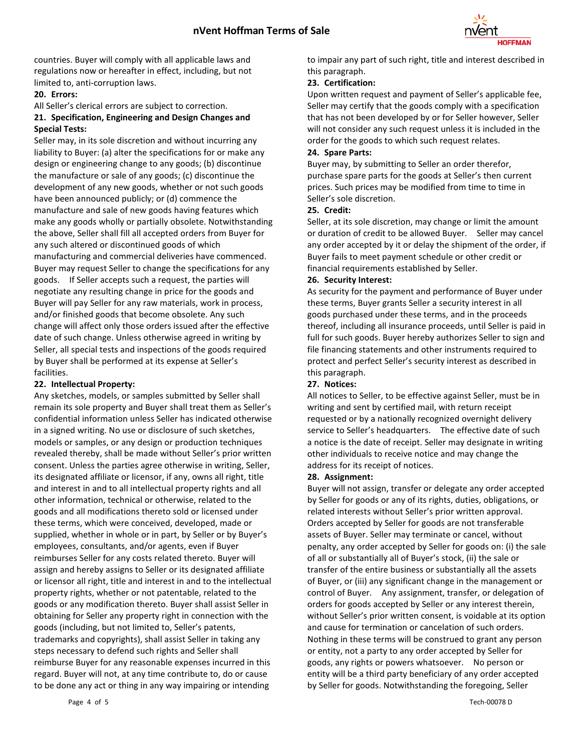

countries. Buyer will comply with all applicable laws and regulations now or hereafter in effect, including, but not limited to, anti-corruption laws.

### **20. Errors:**

All Seller's clerical errors are subject to correction.

## **21. Specification, Engineering and Design Changes and Special Tests:**

Seller may, in its sole discretion and without incurring any liability to Buyer: (a) alter the specifications for or make any design or engineering change to any goods; (b) discontinue the manufacture or sale of any goods; (c) discontinue the development of any new goods, whether or not such goods have been announced publicly; or (d) commence the manufacture and sale of new goods having features which make any goods wholly or partially obsolete. Notwithstanding the above, Seller shall fill all accepted orders from Buyer for any such altered or discontinued goods of which manufacturing and commercial deliveries have commenced. Buyer may request Seller to change the specifications for any goods. If Seller accepts such a request, the parties will negotiate any resulting change in price for the goods and Buyer will pay Seller for any raw materials, work in process, and/or finished goods that become obsolete. Any such change will affect only those orders issued after the effective date of such change. Unless otherwise agreed in writing by Seller, all special tests and inspections of the goods required by Buyer shall be performed at its expense at Seller's facilities.

### **22. Intellectual Property:**

Any sketches, models, or samples submitted by Seller shall remain its sole property and Buyer shall treat them as Seller's confidential information unless Seller has indicated otherwise in a signed writing. No use or disclosure of such sketches, models or samples, or any design or production techniques revealed thereby, shall be made without Seller's prior written consent. Unless the parties agree otherwise in writing, Seller, its designated affiliate or licensor, if any, owns all right, title and interest in and to all intellectual property rights and all other information, technical or otherwise, related to the goods and all modifications thereto sold or licensed under these terms, which were conceived, developed, made or supplied, whether in whole or in part, by Seller or by Buyer's employees, consultants, and/or agents, even if Buyer reimburses Seller for any costs related thereto. Buyer will assign and hereby assigns to Seller or its designated affiliate or licensor all right, title and interest in and to the intellectual property rights, whether or not patentable, related to the goods or any modification thereto. Buyer shall assist Seller in obtaining for Seller any property right in connection with the goods (including, but not limited to, Seller's patents, trademarks and copyrights), shall assist Seller in taking any steps necessary to defend such rights and Seller shall reimburse Buyer for any reasonable expenses incurred in this regard. Buyer will not, at any time contribute to, do or cause to be done any act or thing in any way impairing or intending

to impair any part of such right, title and interest described in this paragraph.

### **23. Certification:**

Upon written request and payment of Seller's applicable fee, Seller may certify that the goods comply with a specification that has not been developed by or for Seller however, Seller will not consider any such request unless it is included in the order for the goods to which such request relates.

### **24. Spare Parts:**

Buyer may, by submitting to Seller an order therefor, purchase spare parts for the goods at Seller's then current prices. Such prices may be modified from time to time in Seller's sole discretion.

### **25. Credit:**

Seller, at its sole discretion, may change or limit the amount or duration of credit to be allowed Buyer. Seller may cancel any order accepted by it or delay the shipment of the order, if Buyer fails to meet payment schedule or other credit or financial requirements established by Seller.

### **26. Security Interest:**

As security for the payment and performance of Buyer under these terms, Buyer grants Seller a security interest in all goods purchased under these terms, and in the proceeds thereof, including all insurance proceeds, until Seller is paid in full for such goods. Buyer hereby authorizes Seller to sign and file financing statements and other instruments required to protect and perfect Seller's security interest as described in this paragraph.

### **27. Notices:**

All notices to Seller, to be effective against Seller, must be in writing and sent by certified mail, with return receipt requested or by a nationally recognized overnight delivery service to Seller's headquarters. The effective date of such a notice is the date of receipt. Seller may designate in writing other individuals to receive notice and may change the address for its receipt of notices.

### **28. Assignment:**

Buyer will not assign, transfer or delegate any order accepted by Seller for goods or any of its rights, duties, obligations, or related interests without Seller's prior written approval. Orders accepted by Seller for goods are not transferable assets of Buyer. Seller may terminate or cancel, without penalty, any order accepted by Seller for goods on: (i) the sale of all or substantially all of Buyer's stock, (ii) the sale or transfer of the entire business or substantially all the assets of Buyer, or (iii) any significant change in the management or control of Buyer. Any assignment, transfer, or delegation of orders for goods accepted by Seller or any interest therein, without Seller's prior written consent, is voidable at its option and cause for termination or cancelation of such orders. Nothing in these terms will be construed to grant any person or entity, not a party to any order accepted by Seller for goods, any rights or powers whatsoever. No person or entity will be a third party beneficiary of any order accepted by Seller for goods. Notwithstanding the foregoing, Seller